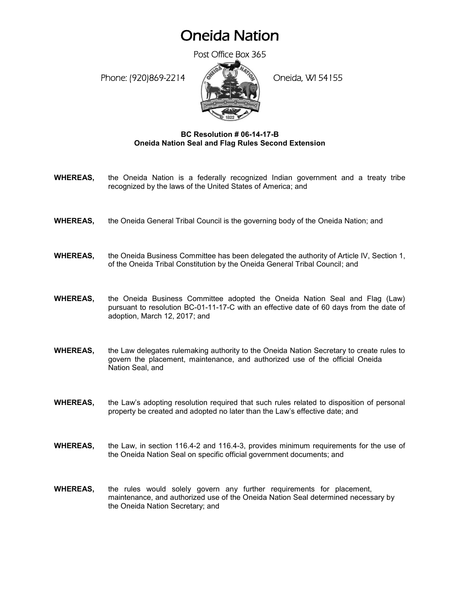## Oneida Nation

Post Office Box 365

Phone: (920)869-2214 (Company) Oneida, WI 54155



## **BC Resolution # 06-14-17-B Oneida Nation Seal and Flag Rules Second Extension**

- **WHEREAS,** the Oneida Nation is a federally recognized Indian government and a treaty tribe recognized by the laws of the United States of America; and
- **WHEREAS,** the Oneida General Tribal Council is the governing body of the Oneida Nation; and
- **WHEREAS,** the Oneida Business Committee has been delegated the authority of Article IV, Section 1, of the Oneida Tribal Constitution by the Oneida General Tribal Council; and
- **WHEREAS,** the Oneida Business Committee adopted the Oneida Nation Seal and Flag (Law) pursuant to resolution BC-01-11-17-C with an effective date of 60 days from the date of adoption, March 12, 2017; and
- **WHEREAS,** the Law delegates rulemaking authority to the Oneida Nation Secretary to create rules to govern the placement, maintenance, and authorized use of the official Oneida Nation Seal, and
- **WHEREAS.** the Law's adopting resolution required that such rules related to disposition of personal property be created and adopted no later than the Law's effective date; and
- **WHEREAS,** the Law, in section 116.4-2 and 116.4-3, provides minimum requirements for the use of the Oneida Nation Seal on specific official government documents; and
- **WHEREAS,** the rules would solely govern any further requirements for placement, maintenance, and authorized use of the Oneida Nation Seal determined necessary by the Oneida Nation Secretary; and